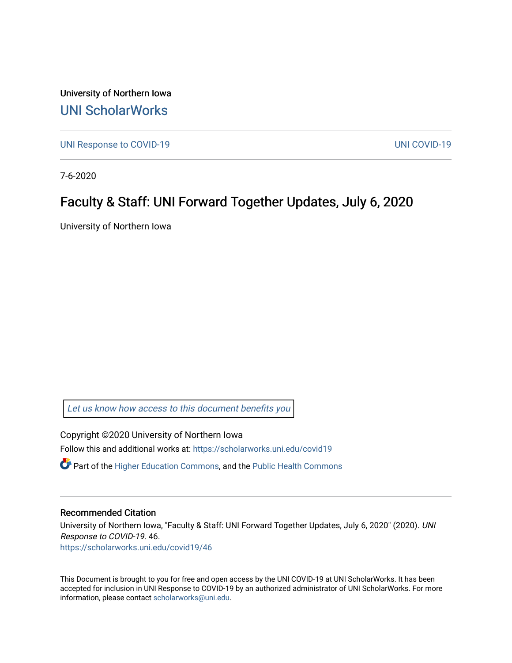University of Northern Iowa [UNI ScholarWorks](https://scholarworks.uni.edu/) 

[UNI Response to COVID-19](https://scholarworks.uni.edu/covid19) [UNI COVID-19](https://scholarworks.uni.edu/covid) 

7-6-2020

## Faculty & Staff: UNI Forward Together Updates, July 6, 2020

University of Northern Iowa

[Let us know how access to this document benefits you](https://scholarworks.uni.edu/feedback_form.html) 

Copyright ©2020 University of Northern Iowa Follow this and additional works at: [https://scholarworks.uni.edu/covid19](https://scholarworks.uni.edu/covid19?utm_source=scholarworks.uni.edu%2Fcovid19%2F46&utm_medium=PDF&utm_campaign=PDFCoverPages)

 $\bullet$  Part of the [Higher Education Commons,](http://network.bepress.com/hgg/discipline/1245?utm_source=scholarworks.uni.edu%2Fcovid19%2F46&utm_medium=PDF&utm_campaign=PDFCoverPages) and the Public Health Commons

## Recommended Citation

University of Northern Iowa, "Faculty & Staff: UNI Forward Together Updates, July 6, 2020" (2020). UNI Response to COVID-19. 46.

[https://scholarworks.uni.edu/covid19/46](https://scholarworks.uni.edu/covid19/46?utm_source=scholarworks.uni.edu%2Fcovid19%2F46&utm_medium=PDF&utm_campaign=PDFCoverPages) 

This Document is brought to you for free and open access by the UNI COVID-19 at UNI ScholarWorks. It has been accepted for inclusion in UNI Response to COVID-19 by an authorized administrator of UNI ScholarWorks. For more information, please contact [scholarworks@uni.edu.](mailto:scholarworks@uni.edu)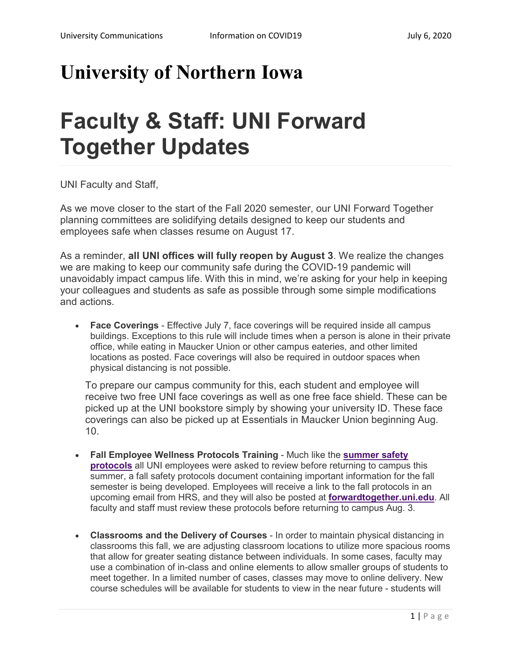## **University of Northern Iowa**

## **Faculty & Staff: UNI Forward Together Updates**

UNI Faculty and Staff,

As we move closer to the start of the Fall 2020 semester, our UNI Forward Together planning committees are solidifying details designed to keep our students and employees safe when classes resume on August 17.

As a reminder, **all UNI offices will fully reopen by August 3**. We realize the changes we are making to keep our community safe during the COVID-19 pandemic will unavoidably impact campus life. With this in mind, we're asking for your help in keeping your colleagues and students as safe as possible through some simple modifications and actions.

• **Face Coverings** - Effective July 7, face coverings will be required inside all campus buildings. Exceptions to this rule will include times when a person is alone in their private office, while eating in Maucker Union or other campus eateries, and other limited locations as posted. Face coverings will also be required in outdoor spaces when physical distancing is not possible.

To prepare our campus community for this, each student and employee will receive two free UNI face coverings as well as one free face shield. These can be picked up at the UNI bookstore simply by showing your university ID. These face coverings can also be picked up at Essentials in Maucker Union beginning Aug. 10.

- **Fall Employee Wellness Protocols Training** Much like the **[summer safety](https://forwardtogether.uni.edu/phased-increase-summer-operations-departmental-protocols)  [protocols](https://forwardtogether.uni.edu/phased-increase-summer-operations-departmental-protocols)** all UNI employees were asked to review before returning to campus this summer, a fall safety protocols document containing important information for the fall semester is being developed. Employees will receive a link to the fall protocols in an upcoming email from HRS, and they will also be posted at **[forwardtogether.uni.edu](https://forwardtogether.uni.edu/)**. All faculty and staff must review these protocols before returning to campus Aug. 3.
- **Classrooms and the Delivery of Courses** In order to maintain physical distancing in classrooms this fall, we are adjusting classroom locations to utilize more spacious rooms that allow for greater seating distance between individuals. In some cases, faculty may use a combination of in-class and online elements to allow smaller groups of students to meet together. In a limited number of cases, classes may move to online delivery. New course schedules will be available for students to view in the near future - students will